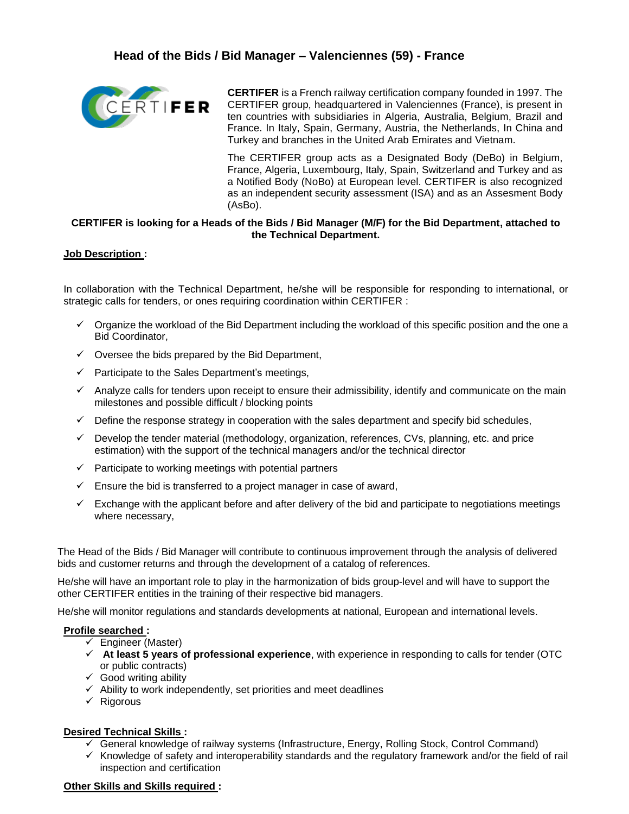

**CERTIFER** is a French railway certification company founded in 1997. The CERTIFER group, headquartered in Valenciennes (France), is present in ten countries with subsidiaries in Algeria, Australia, Belgium, Brazil and France. In Italy, Spain, Germany, Austria, the Netherlands, In China and Turkey and branches in the United Arab Emirates and Vietnam.

The CERTIFER group acts as a Designated Body (DeBo) in Belgium, France, Algeria, Luxembourg, Italy, Spain, Switzerland and Turkey and as a Notified Body (NoBo) at European level. CERTIFER is also recognized as an independent security assessment (ISA) and as an Assesment Body (AsBo).

# **CERTIFER is looking for a Heads of the Bids / Bid Manager (M/F) for the Bid Department, attached to the Technical Department.**

## **Job Description :**

In collaboration with the Technical Department, he/she will be responsible for responding to international, or strategic calls for tenders, or ones requiring coordination within CERTIFER :

- $\checkmark$  Organize the workload of the Bid Department including the workload of this specific position and the one a Bid Coordinator,
- $\checkmark$  Oversee the bids prepared by the Bid Department,
- $\checkmark$  Participate to the Sales Department's meetings,
- ✓ Analyze calls for tenders upon receipt to ensure their admissibility, identify and communicate on the main milestones and possible difficult / blocking points
- $\checkmark$  Define the response strategy in cooperation with the sales department and specify bid schedules,
- $\checkmark$  Develop the tender material (methodology, organization, references, CVs, planning, etc. and price estimation) with the support of the technical managers and/or the technical director
- $\checkmark$  Participate to working meetings with potential partners
- $\checkmark$  Ensure the bid is transferred to a project manager in case of award,
- $\checkmark$  Exchange with the applicant before and after delivery of the bid and participate to negotiations meetings where necessary,

The Head of the Bids / Bid Manager will contribute to continuous improvement through the analysis of delivered bids and customer returns and through the development of a catalog of references.

He/she will have an important role to play in the harmonization of bids group-level and will have to support the other CERTIFER entities in the training of their respective bid managers.

He/she will monitor regulations and standards developments at national, European and international levels.

## **Profile searched :**

- $\checkmark$  Engineer (Master)
- ✓ **At least 5 years of professional experience**, with experience in responding to calls for tender (OTC or public contracts)
- $\checkmark$  Good writing ability
- $\checkmark$  Ability to work independently, set priorities and meet deadlines
- ✓ Rigorous

## **Desired Technical Skills :**

- ✓ General knowledge of railway systems (Infrastructure, Energy, Rolling Stock, Control Command)
- ✓ Knowledge of safety and interoperability standards and the regulatory framework and/or the field of rail inspection and certification

## **Other Skills and Skills required :**